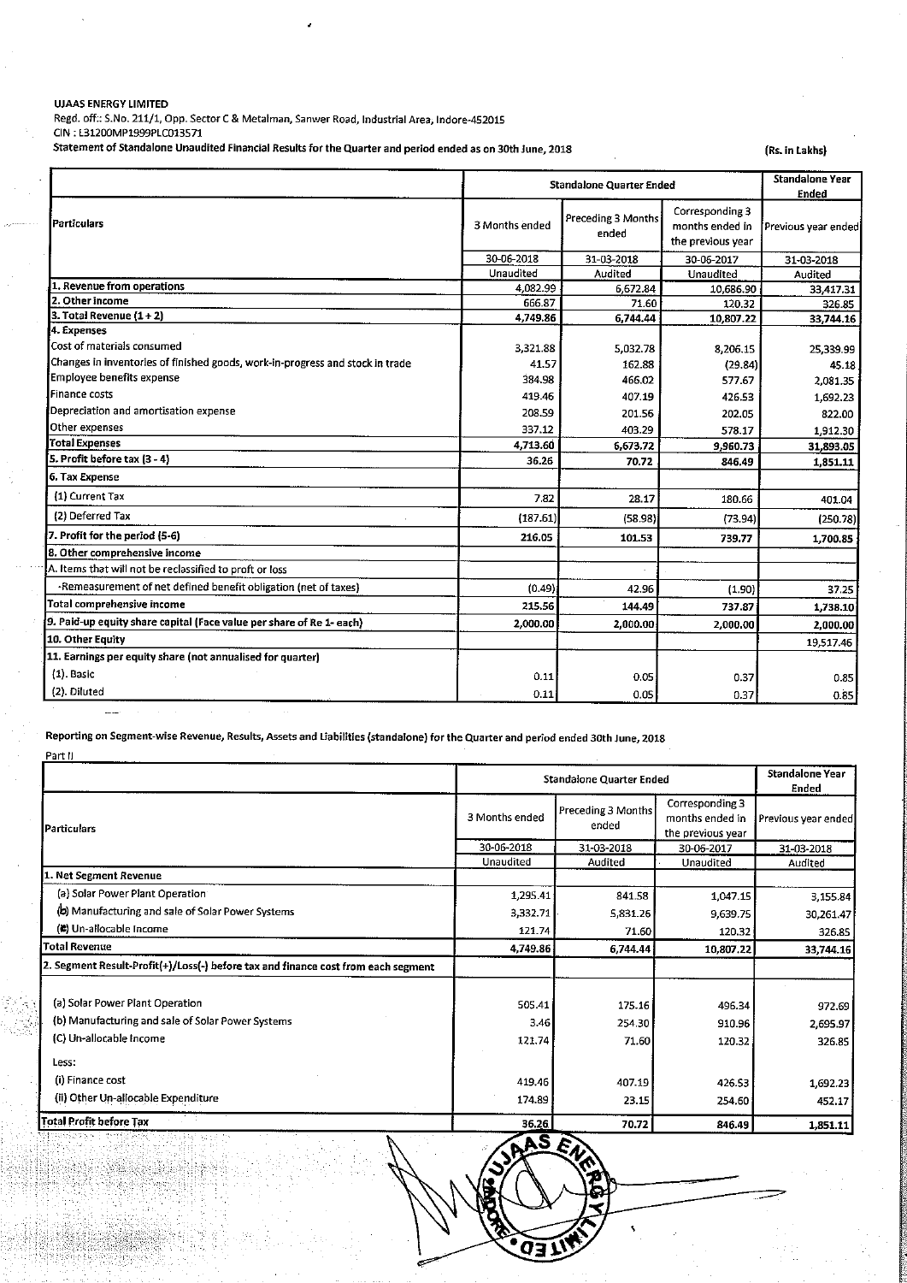## UJAAS ENERGY LIMITED

Regd. off; S.No. 211/1, Opp. Sector <sup>C</sup> & Metalman, Sanwer Road, Industrial Area, Indore-452015 CIN : L31200MP1999PLC013571

Statement of Standalone Unaudited Financial Results for the Quarter and period ended as on 30th June, 2018 (Rs. in Lakhs)

| <i>Particulars</i>                                                            | <b>Standalone Quarter Ended</b> |                             |                                                         | <b>Standalone Year</b><br>Ended |
|-------------------------------------------------------------------------------|---------------------------------|-----------------------------|---------------------------------------------------------|---------------------------------|
|                                                                               | 3 Months ended                  | Preceding 3 Months<br>ended | Corresponding 3<br>months ended in<br>the previous year | Previous year ender             |
|                                                                               | 30-06-2018                      | 31-03-2018                  | 30-06-2017                                              | 31-03-2018                      |
|                                                                               | Unaudited                       | Audited                     | Unaudited                                               | Audited                         |
| 1. Revenue from operations                                                    | 4,082.99                        | 6.672.84                    | 10.686.90                                               | 33,417.31                       |
| 2. Other income                                                               | 666.87                          | 71.60                       | 120.32                                                  | 326.85                          |
| $3.$ Total Revenue $(1 + 2)$                                                  | 4,749.86                        | 6,744.44                    | 10,807.22                                               | 33,744.16                       |
| 4. Expenses<br>Cost of materials consumed                                     |                                 |                             |                                                         |                                 |
|                                                                               | 3.321.88                        | 5,032.78                    | 8,206.15                                                | 25,339.99                       |
| Changes in inventories of finished goods, work-in-progress and stock in trade | 41.57                           | 162.88                      | (29.84)                                                 | 45.18                           |
| Employee benefits expense                                                     | 384.98                          | 466.02                      | 577.67                                                  | 2,081.35                        |
| <b>Finance costs</b>                                                          | 419.46                          | 407.19                      | 426.53                                                  | 1,692.23                        |
| Depreciation and amortisation expense                                         | 208.59                          | 201.56                      | 202.05                                                  | 822.00                          |
| Other expenses                                                                | 337.12                          | 403.29                      | 578.17                                                  | 1,912.30                        |
| <b>Total Expenses</b>                                                         | 4,713.60                        | 6,673.72                    | 9,960.73                                                | 31,893.05                       |
| [5. Profit before tax (3 - 4)                                                 | 36.26                           | 70.72                       | 846.49                                                  | 1,851.11                        |
| 6. Tax Expense                                                                |                                 |                             |                                                         |                                 |
| (1) Current Tax                                                               | 7.82                            | 28.17                       | 180.66                                                  | 401.04                          |
| (2) Deferred Tax                                                              | (187.61)                        | (58.98)                     | (73.94)                                                 | (250.78)                        |
| 7. Profit for the period (5-6)                                                | 216.05                          | 101.53                      | 739.77                                                  | 1,700.85                        |
| 8. Other comprehensive income                                                 |                                 |                             |                                                         |                                 |
| A. Items that will not be reclassified to proft or loss                       |                                 |                             |                                                         |                                 |
| -Remeasurement of net defined benefit obligation (net of taxes)               | (0.49)                          | 42.96                       | (1.90)                                                  | 37.25                           |
| Total comprehensive income                                                    | 215.56                          | 144.49                      | 737.87                                                  | 1,738.10                        |
| 9. Paid-up equity share capital (Face value per share of Re 1- each)          | 2.000.00                        | 2,000.00                    | 2,000.00                                                | 2,000.00                        |
| 10. Other Equity                                                              |                                 |                             |                                                         | 19,517.46                       |
| 11. Earnings per equity share (not annualised for quarter)                    |                                 |                             |                                                         |                                 |
| $(1)$ . Basic                                                                 | 0.11                            | 0.05                        | 0.37                                                    | 0.85                            |
| (2). Diluted                                                                  | 0.11                            | 0.05                        | 0.37                                                    | 0.85                            |

Reporting on Segment-wise Revenue, Results, Assets and liabilities (standalone) for the Quarter and period ended 30th June, 2018

| Part II                                                                           |                                 |                             |                                                         |                          |
|-----------------------------------------------------------------------------------|---------------------------------|-----------------------------|---------------------------------------------------------|--------------------------|
|                                                                                   | <b>Standalone Quarter Ended</b> |                             |                                                         | Standalone Year<br>Ended |
| <b>I</b> Particulars                                                              | 3 Months ended                  | Preceding 3 Months<br>ended | Corresponding 3<br>months ended in<br>the previous year | Previous year ended      |
|                                                                                   | 30-06-2018                      | 31-03-2018                  | 30-06-2017                                              | 31-03-2018               |
|                                                                                   | Unaudited                       | Audited                     | Unaudited                                               | Audited                  |
| 1. Net Segment Revenue                                                            |                                 |                             |                                                         |                          |
| (a) Solar Power Plant Operation                                                   | 1,295.41                        | 841.58                      | 1,047.15                                                | 3,155.84                 |
| (b) Manufacturing and sale of Solar Power Systems                                 | 3,332.71                        | 5,831.26                    | 9,639.75                                                | 30,261.47                |
| (2) Un-allocable Income                                                           | 121.74                          | 71.60                       | 120.32                                                  | 326.85                   |
| <b>Total Revenue</b>                                                              | 4,749.86                        | 6,744.44                    | 10,807.22                                               | 33,744.16                |
| 2. Segment Result-Profit(+)/Loss(-) before tax and finance cost from each segment |                                 |                             |                                                         |                          |
| (a) Solar Power Plant Operation                                                   | 505.41                          | 175.16                      | 496.34                                                  | 972.69                   |
| (b) Manufacturing and sale of Solar Power Systems                                 | 3.46                            | 254.30                      | 910.96                                                  | 2,695.97                 |
| (C) Un-allocable Income                                                           | 121.74                          | 71.60                       | 120.32                                                  | 326.85                   |
| Less:                                                                             |                                 |                             |                                                         |                          |
| (i) Finance cost                                                                  | 419.46                          | 407.19                      | 426.53                                                  | 1,692.23                 |
| (ii) Other Un-allocable Expenditure                                               | 174.89                          | 23.15                       | 254.60                                                  | 452.17                   |
| <b>Total Profit before Tax</b>                                                    | 36.26                           | 70.72                       | 846.49                                                  | 1,851.11                 |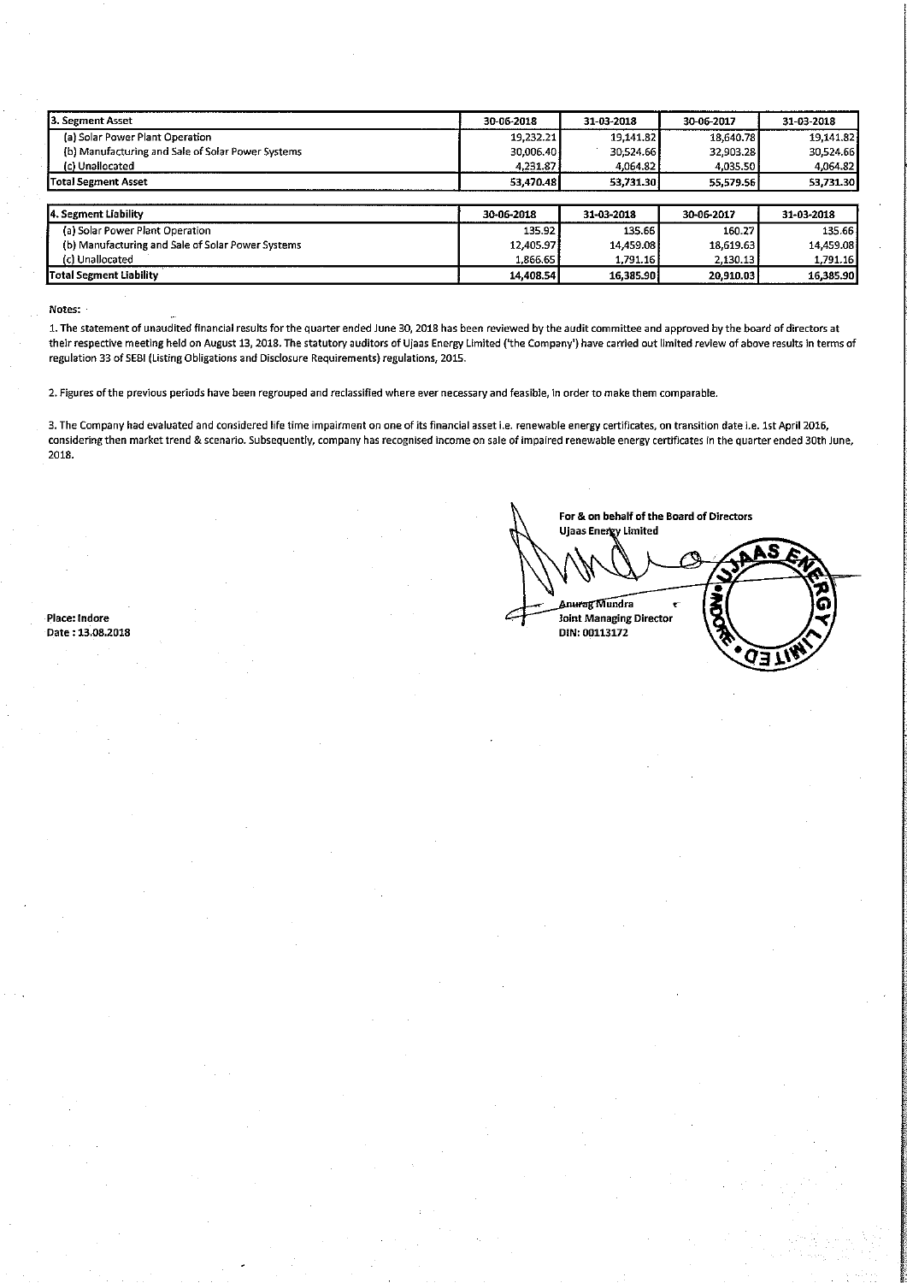| <b>3. Segment Asset</b>                           | 30-06-2018 | 31-03-2018 | 30-06-2017 | 31-03-2018 |
|---------------------------------------------------|------------|------------|------------|------------|
| (a) Solar Power Plant Operation                   | 19,232.21  | 19,141.82  | 18.640.78  | 19 14 1.82 |
| (b) Manufacturing and Sale of Solar Power Systems | 30,006.40  | 30:524.66  | 32.903.28  | 30,524.66  |
| (c) Unallocated                                   | 4,231.87   | 4,064.82   | 4.035.50   | 4,064.82   |
| <b>Total Segment Asset</b>                        | 53,470.48  | 53,731.30  | 55.579.56  | 53,731.30  |
|                                                   |            |            |            |            |
| 14. Segment Liability                             | 30-06-2018 | 31-03-2018 | 30-06-2017 | 31-03-2018 |
| (a) Solar Power Plant Operation                   | 135.92     | 135.66     | 160.27     | 135.66     |
| (b) Manufacturing and Sale of Solar Power Systems | 12.405.97  | 14.459.08  | 18,619.63  | 14.459.08  |
| (c) Unallocated                                   | 1,866.65   | 1,791.16   | 2,130.13   | 1,791.16   |
| lTotal Segment Liability                          | 14,408.54  | 16,385.90  | 20.910.03  | 16,385.90  |

Notes:

1. The statement of unaudited financial results for the quarter ended June 30, 2018 has been reviewed by the audit committee and approved by the board of directors at their respective meeting held on August 13, 2018. The statutory auditors of Ujaas Energy Limited ('the Company') have carried out limited review of above results in terms of regulation 33 of \$55! (Listing Obligations and Disclosure Requirements) regulations, 2015.

2. Figures ofthe previous periods have been regrouped and reclassified where ever necessary and feasible, in order to make them comparable.

3. The Company had evaluated and considered life time impairment on one of its financial asset i.e. renewable energy certificates, on transition date i.e. lst April 2016, considering then market trend & scenario. Subsequently, company has recognised income on sale of impaired renewable energy certificates in the quarter ended 30th June, 2018.

Date: 13.08.2018

For & on behalf of the Board of Directors Ujaas Energy Limited Anurag Mundra Place: Indore joint Managing Director<br>
Date : 13.08.2018 DIN: 00113172 n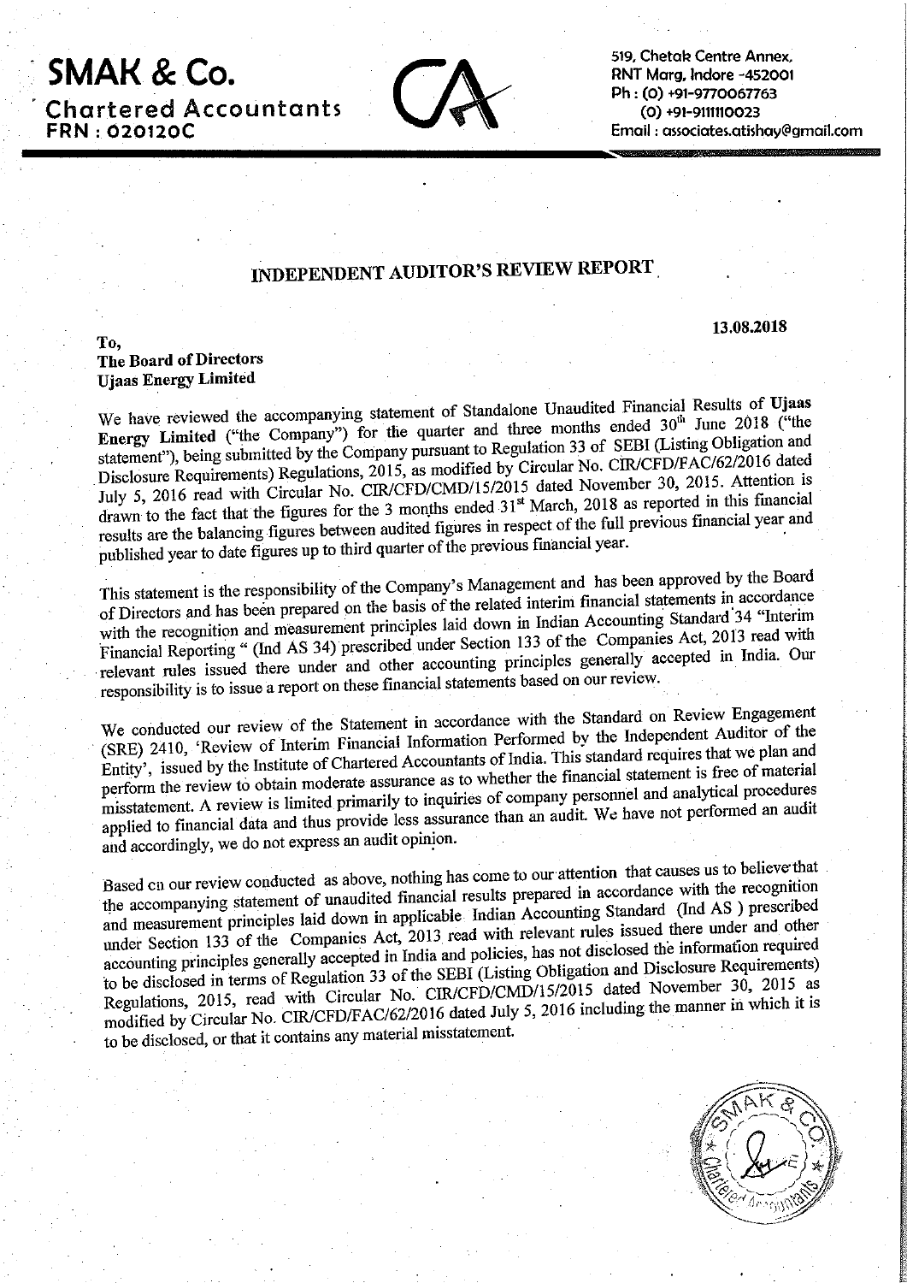. SMAK & CO '**Chartered Accountants** : 020120C

.

519, Chetak Centre Annex. RNT More, Indore -452001  $(0) +91 -9111110023$ 519, Chetak Centre Annex,<br>RNT Marg, Indore -452001<br>Ph : (0) +91-9770067763<br>(0) +91-9111110023<br>Email : associates.atishay@gmail.com Email : associates.otishay@gmoil.com

## INDEPENDENT AUDITOR'S REVIEW REPORT ,

13.08.2018

To, The Board of Directors Ujaas Energy Limited

We have reviewed the accompanying statement of Standalone Unaudited Financial Results of Ujaas Energy Limited ("the Company") for the quarter and three months ended 30<sup>th</sup> June 2018 ("the statement"), being submitted by the Company pursuant to Regulation <sup>33</sup> of SEBI (Listing Obligation and Disclosure Requirements) Regulations, 2015, as modified by Circular No. CIR/CFD/FAC/62/2016 dated July 5, <sup>2016</sup> read with Circular No. CIR/CFD/CMD/15/2015 dated November 30, 2015. Attention is drawn to the fact that the figures for the 3 months ended 31<sup>st</sup> March, 2018 as reported in this financial results are the balancing figures between audited figures in respect of the full previous financial year and ' published year to date figures up to third quarter of the previous financial year.

This statement is the responsibility of the Company's Management and has been approved by the Board of Directors and has been prepared on the basis of the related interim financial statements in accordance with the recognition and measurement principles laid down in Indian Accounting Standard'34 "Interim Financial Reporting (ind AS 34) presented there is even to reflex and accepted in India. Our relevant rules issued there under and other accounting principles generally accepted in India. Our and measurement principles that companies are Companies Act, 2013 read with<br>"(Ind AS 34) prescribed under Section 133 of the Companies Act, 2013 read with responsibility is to issue <sup>a</sup> report on these financial statements based on our review.

We conducted our review of the Statement in accordance with the Standard on Review Engagement (SRE) 2410, 'Review of Interim Financial Information Performed by the Independent Auditor of the Entity', issued by the Institute of Chartered Accountants ofIndia. This standard requires that we plan and perform the review to obtain moderate assurance as to whether the financial statement is free of material misstatement. <sup>A</sup> review is limited primarily to inquiries of company personnel and analytical procedures applied to financial data and thus provide less assurance than an audit. We have not performed an audit and accordingly, we do not express an audit opinion.

Based on our review conducted as above, nothing has come to our-attention that causes us to believe'that the accompanying statement of unaudited financial results prepared in accordance with the recognition and measurement principles laid down in applicable Indian Accounting Standard (Ind AS ) prescribed under Section 133 of the Companies Act, 2013 read with relevant rules issued there under and other accounting principles generally accepted in India and policies, has not disclosed the information required to be disclosed in terms of Regulation <sup>33</sup> of the SEBI (Listing Obligation and Disclosure Requirements) Regulations, 2015, read with Circular No. CIR/CFD/CMD/15/2015 dated November 30, <sup>2015</sup> as Regulations, 2015, read with Circular No. CINCPD/CIND/15/2016 Lines.<br>
modified by Circular No. CIR/CFD/FAC/62/2016 dated July 5, 2016 including the manner in which it is to be disclosed, or that it contains any material misstatement.